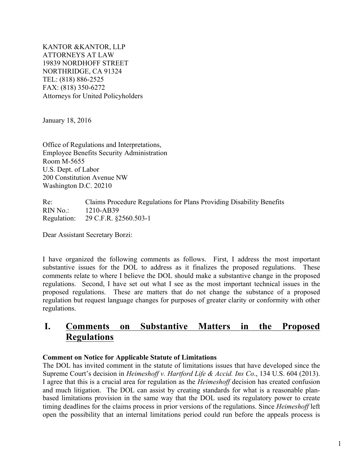KANTOR &KANTOR, LLP ATTORNEYS AT LAW 19839 NORDHOFF STREET NORTHRIDGE, CA 91324 TEL: (818) 886-2525 FAX: (818) 350-6272 Attorneys for United Policyholders

January 18, 2016

Office of Regulations and Interpretations, Employee Benefits Security Administration Room M-5655 U.S. Dept. of Labor 200 Constitution Avenue NW Washington D.C. 20210

Re: Claims Procedure Regulations for Plans Providing Disability Benefits RIN No.: 1210-AB39 Regulation: 29 C.F.R. §2560.503-1

Dear Assistant Secretary Borzi:

I have organized the following comments as follows. First, I address the most important substantive issues for the DOL to address as it finalizes the proposed regulations. These comments relate to where I believe the DOL should make a substantive change in the proposed regulations. Second, I have set out what I see as the most important technical issues in the proposed regulations. These are matters that do not change the substance of a proposed regulation but request language changes for purposes of greater clarity or conformity with other regulations.

# **I. Comments on Substantive Matters in the Proposed Regulations**

# **Comment on Notice for Applicable Statute of Limitations**

The DOL has invited comment in the statute of limitations issues that have developed since the Supreme Court's decision in *Heimeshoff v. Hartford Life & Accid. Ins Co*., 134 U.S. 604 (2013). I agree that this is a crucial area for regulation as the *Heimeshoff* decision has created confusion and much litigation. The DOL can assist by creating standards for what is a reasonable planbased limitations provision in the same way that the DOL used its regulatory power to create timing deadlines for the claims process in prior versions of the regulations. Since *Heimeshoff* left open the possibility that an internal limitations period could run before the appeals process is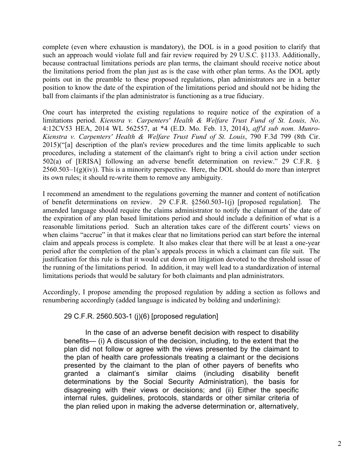complete (even where exhaustion is mandatory), the DOL is in a good position to clarify that such an approach would violate full and fair review required by 29 U.S.C. §1133. Additionally, because contractual limitations periods are plan terms, the claimant should receive notice about the limitations period from the plan just as is the case with other plan terms. As the DOL aptly points out in the preamble to these proposed regulations, plan administrators are in a better position to know the date of the expiration of the limitations period and should not be hiding the ball from claimants if the plan administrator is functioning as a true fiduciary.

One court has interpreted the existing regulations to require notice of the expiration of a limitations period. *Kienstra v. Carpenters' Health & Welfare Trust Fund of St. Louis, No*. 4:12CV53 HEA, 2014 WL 562557, at \*4 (E.D. Mo. Feb. 13, 2014), *aff'd sub nom. Munro-Kienstra v. Carpenters' Health & Welfare Trust Fund of St. Louis*, 790 F.3d 799 (8th Cir. 2015)("[a] description of the plan's review procedures and the time limits applicable to such procedures, including a statement of the claimant's right to bring a civil action under section 502(a) of [ERISA] following an adverse benefit determination on review." 29 C.F.R. §  $2560.503-1(g)(iv)$ . This is a minority perspective. Here, the DOL should do more than interpret its own rules; it should re-write them to remove any ambiguity.

I recommend an amendment to the regulations governing the manner and content of notification of benefit determinations on review. 29 C.F.R. §2560.503-1(j) [proposed regulation]. The amended language should require the claims administrator to notify the claimant of the date of the expiration of any plan based limitations period and should include a definition of what is a reasonable limitations period. Such an alteration takes care of the different courts' views on when claims "accrue" in that it makes clear that no limitations period can start before the internal claim and appeals process is complete. It also makes clear that there will be at least a one-year period after the completion of the plan's appeals process in which a claimant can file suit. The justification for this rule is that it would cut down on litigation devoted to the threshold issue of the running of the limitations period. In addition, it may well lead to a standardization of internal limitations periods that would be salutary for both claimants and plan administrators.

Accordingly, I propose amending the proposed regulation by adding a section as follows and renumbering accordingly (added language is indicated by bolding and underlining):

# 29 C.F.R. 2560.503-1 (j)(6) [proposed regulation]

In the case of an adverse benefit decision with respect to disability benefits— (i) A discussion of the decision, including, to the extent that the plan did not follow or agree with the views presented by the claimant to the plan of health care professionals treating a claimant or the decisions presented by the claimant to the plan of other payers of benefits who granted a claimant's similar claims (including disability benefit determinations by the Social Security Administration), the basis for disagreeing with their views or decisions; and (ii) Either the specific internal rules, guidelines, protocols, standards or other similar criteria of the plan relied upon in making the adverse determination or, alternatively,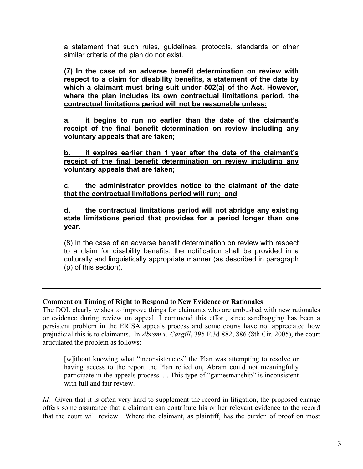a statement that such rules, guidelines, protocols, standards or other similar criteria of the plan do not exist.

**(7) In the case of an adverse benefit determination on review with respect to a claim for disability benefits, a statement of the date by which a claimant must bring suit under 502(a) of the Act. However, where the plan includes its own contractual limitations period, the contractual limitations period will not be reasonable unless:** 

**a. it begins to run no earlier than the date of the claimant's receipt of the final benefit determination on review including any voluntary appeals that are taken;**

**b. it expires earlier than 1 year after the date of the claimant's receipt of the final benefit determination on review including any voluntary appeals that are taken;**

**c. the administrator provides notice to the claimant of the date that the contractual limitations period will run; and**

**d. the contractual limitations period will not abridge any existing state limitations period that provides for a period longer than one year.** 

(8) In the case of an adverse benefit determination on review with respect to a claim for disability benefits, the notification shall be provided in a culturally and linguistically appropriate manner (as described in paragraph (p) of this section).

# **Comment on Timing of Right to Respond to New Evidence or Rationales**

The DOL clearly wishes to improve things for claimants who are ambushed with new rationales or evidence during review on appeal. I commend this effort, since sandbagging has been a persistent problem in the ERISA appeals process and some courts have not appreciated how prejudicial this is to claimants. In *Abram v. Cargill*, 395 F.3d 882, 886 (8th Cir. 2005), the court articulated the problem as follows:

[w]ithout knowing what "inconsistencies" the Plan was attempting to resolve or having access to the report the Plan relied on, Abram could not meaningfully participate in the appeals process. . . This type of "gamesmanship" is inconsistent with full and fair review

*Id.* Given that it is often very hard to supplement the record in litigation, the proposed change offers some assurance that a claimant can contribute his or her relevant evidence to the record that the court will review. Where the claimant, as plaintiff, has the burden of proof on most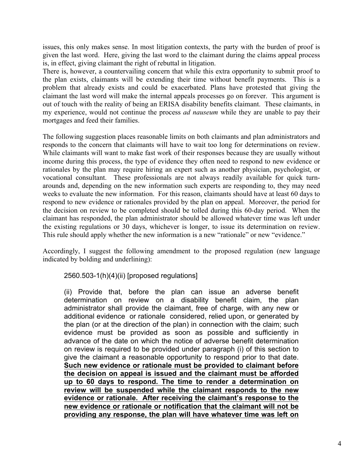issues, this only makes sense. In most litigation contexts, the party with the burden of proof is given the last word. Here, giving the last word to the claimant during the claims appeal process is, in effect, giving claimant the right of rebuttal in litigation.

There is, however, a countervailing concern that while this extra opportunity to submit proof to the plan exists, claimants will be extending their time without benefit payments. This is a problem that already exists and could be exacerbated. Plans have protested that giving the claimant the last word will make the internal appeals processes go on forever. This argument is out of touch with the reality of being an ERISA disability benefits claimant. These claimants, in my experience, would not continue the process *ad nauseum* while they are unable to pay their mortgages and feed their families.

The following suggestion places reasonable limits on both claimants and plan administrators and responds to the concern that claimants will have to wait too long for determinations on review. While claimants will want to make fast work of their responses because they are usually without income during this process, the type of evidence they often need to respond to new evidence or rationales by the plan may require hiring an expert such as another physician, psychologist, or vocational consultant. These professionals are not always readily available for quick turnarounds and, depending on the new information such experts are responding to, they may need weeks to evaluate the new information. For this reason, claimants should have at least 60 days to respond to new evidence or rationales provided by the plan on appeal. Moreover, the period for the decision on review to be completed should be tolled during this 60-day period. When the claimant has responded, the plan administrator should be allowed whatever time was left under the existing regulations or 30 days, whichever is longer, to issue its determination on review. This rule should apply whether the new information is a new "rationale" or new "evidence."

Accordingly, I suggest the following amendment to the proposed regulation (new language indicated by bolding and underlining):

2560.503-1(h)(4)(ii) [proposed regulations]

(ii) Provide that, before the plan can issue an adverse benefit determination on review on a disability benefit claim, the plan administrator shall provide the claimant, free of charge, with any new or additional evidence or rationale considered, relied upon, or generated by the plan (or at the direction of the plan) in connection with the claim; such evidence must be provided as soon as possible and sufficiently in advance of the date on which the notice of adverse benefit determination on review is required to be provided under paragraph (i) of this section to give the claimant a reasonable opportunity to respond prior to that date. **Such new evidence or rationale must be provided to claimant before the decision on appeal is issued and the claimant must be afforded up to 60 days to respond. The time to render a determination on review will be suspended while the claimant responds to the new evidence or rationale. After receiving the claimant's response to the new evidence or rationale or notification that the claimant will not be providing any response, the plan will have whatever time was left on**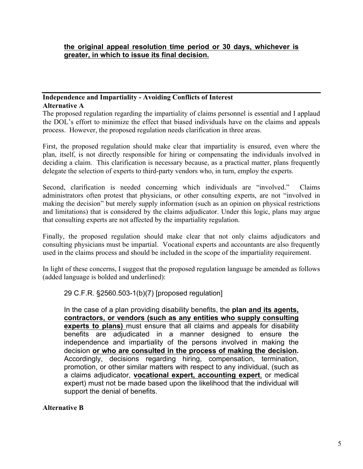### **Independence and Impartiality - Avoiding Conflicts of Interest Alternative A**

The proposed regulation regarding the impartiality of claims personnel is essential and I applaud the DOL's effort to minimize the effect that biased individuals have on the claims and appeals process. However, the proposed regulation needs clarification in three areas.

First, the proposed regulation should make clear that impartiality is ensured, even where the plan, itself, is not directly responsible for hiring or compensating the individuals involved in deciding a claim. This clarification is necessary because, as a practical matter, plans frequently delegate the selection of experts to third-party vendors who, in turn, employ the experts.

Second, clarification is needed concerning which individuals are "involved." Claims administrators often protest that physicians, or other consulting experts, are not "involved in making the decision" but merely supply information (such as an opinion on physical restrictions and limitations) that is considered by the claims adjudicator. Under this logic, plans may argue that consulting experts are not affected by the impartiality regulation.

Finally, the proposed regulation should make clear that not only claims adjudicators and consulting physicians must be impartial. Vocational experts and accountants are also frequently used in the claims process and should be included in the scope of the impartiality requirement.

In light of these concerns, I suggest that the proposed regulation language be amended as follows (added language is bolded and underlined):

29 C.F.R. §2560.503-1(b)(7) [proposed regulation]

In the case of a plan providing disability benefits, the **plan and its agents, contractors, or vendors (such as any entities who supply consulting experts to plans)** must ensure that all claims and appeals for disability benefits are adjudicated in a manner designed to ensure the independence and impartiality of the persons involved in making the decision **or who are consulted in the process of making the decision.**  Accordingly, decisions regarding hiring, compensation, termination, promotion, or other similar matters with respect to any individual, (such as a claims adjudicator, **vocational expert, accounting expert**, or medical expert) must not be made based upon the likelihood that the individual will support the denial of benefits.

# **Alternative B**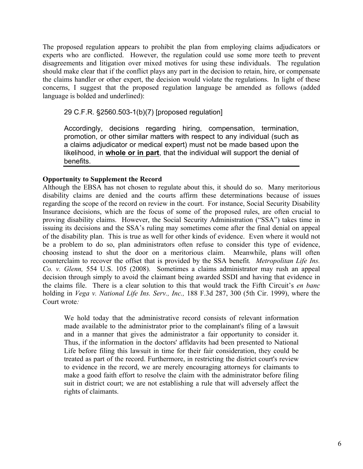The proposed regulation appears to prohibit the plan from employing claims adjudicators or experts who are conflicted. However, the regulation could use some more teeth to prevent disagreements and litigation over mixed motives for using these individuals. The regulation should make clear that if the conflict plays any part in the decision to retain, hire, or compensate the claims handler or other expert, the decision would violate the regulations. In light of these concerns, I suggest that the proposed regulation language be amended as follows (added language is bolded and underlined):

29 C.F.R. §2560.503-1(b)(7) [proposed regulation]

Accordingly, decisions regarding hiring, compensation, termination, promotion, or other similar matters with respect to any individual (such as a claims adjudicator or medical expert) must not be made based upon the likelihood, in **whole or in part**, that the individual will support the denial of benefits.

# **Opportunity to Supplement the Record**

Although the EBSA has not chosen to regulate about this, it should do so. Many meritorious disability claims are denied and the courts affirm these determinations because of issues regarding the scope of the record on review in the court. For instance, Social Security Disability Insurance decisions, which are the focus of some of the proposed rules, are often crucial to proving disability claims. However, the Social Security Administration ("SSA") takes time in issuing its decisions and the SSA's ruling may sometimes come after the final denial on appeal of the disability plan. This is true as well for other kinds of evidence. Even where it would not be a problem to do so, plan administrators often refuse to consider this type of evidence, choosing instead to shut the door on a meritorious claim. Meanwhile, plans will often counterclaim to recover the offset that is provided by the SSA benefit*. Metropolitan Life Ins. Co. v. Glenn,* 554 U.S. 105 (2008). Sometimes a claims administrator may rush an appeal decision through simply to avoid the claimant being awarded SSDI and having that evidence in the claims file. There is a clear solution to this that would track the Fifth Circuit's *en banc*  holding in *Vega v. National Life Ins. Serv., Inc.,* 188 F.3d 287, 300 (5th Cir. 1999), where the Court wrote*:*

We hold today that the administrative record consists of relevant information made available to the administrator prior to the complainant's filing of a lawsuit and in a manner that gives the administrator a fair opportunity to consider it. Thus, if the information in the doctors' affidavits had been presented to National Life before filing this lawsuit in time for their fair consideration, they could be treated as part of the record. Furthermore, in restricting the district court's review to evidence in the record, we are merely encouraging attorneys for claimants to make a good faith effort to resolve the claim with the administrator before filing suit in district court; we are not establishing a rule that will adversely affect the rights of claimants.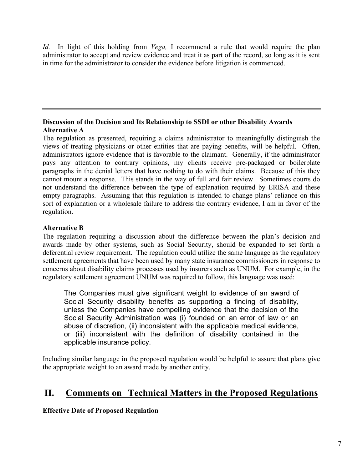*Id.* In light of this holding from *Vega,* I recommend a rule that would require the plan administrator to accept and review evidence and treat it as part of the record, so long as it is sent in time for the administrator to consider the evidence before litigation is commenced.

# **Discussion of the Decision and Its Relationship to SSDI or other Disability Awards Alternative A**

The regulation as presented, requiring a claims administrator to meaningfully distinguish the views of treating physicians or other entities that are paying benefits, will be helpful. Often, administrators ignore evidence that is favorable to the claimant. Generally, if the administrator pays any attention to contrary opinions, my clients receive pre-packaged or boilerplate paragraphs in the denial letters that have nothing to do with their claims. Because of this they cannot mount a response. This stands in the way of full and fair review. Sometimes courts do not understand the difference between the type of explanation required by ERISA and these empty paragraphs. Assuming that this regulation is intended to change plans' reliance on this sort of explanation or a wholesale failure to address the contrary evidence, I am in favor of the regulation.

# **Alternative B**

The regulation requiring a discussion about the difference between the plan's decision and awards made by other systems, such as Social Security, should be expanded to set forth a deferential review requirement. The regulation could utilize the same language as the regulatory settlement agreements that have been used by many state insurance commissioners in response to concerns about disability claims processes used by insurers such as UNUM. For example, in the regulatory settlement agreement UNUM was required to follow, this language was used:

The Companies must give significant weight to evidence of an award of Social Security disability benefits as supporting a finding of disability, unless the Companies have compelling evidence that the decision of the Social Security Administration was (i) founded on an error of law or an abuse of discretion, (ii) inconsistent with the applicable medical evidence, or (iii) inconsistent with the definition of disability contained in the applicable insurance policy.

Including similar language in the proposed regulation would be helpful to assure that plans give the appropriate weight to an award made by another entity.

# **II. Comments on Technical Matters in the Proposed Regulations**

**Effective Date of Proposed Regulation**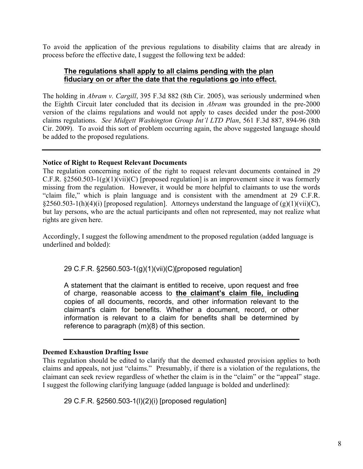To avoid the application of the previous regulations to disability claims that are already in process before the effective date, I suggest the following text be added:

#### **The regulations shall apply to all claims pending with the plan fiduciary on or after the date that the regulations go into effect.**

The holding in *Abram v. Cargill*, 395 F.3d 882 (8th Cir. 2005), was seriously undermined when the Eighth Circuit later concluded that its decision in *Abram* was grounded in the pre-2000 version of the claims regulations and would not apply to cases decided under the post-2000 claims regulations. *See Midgett Washington Group Int'l LTD Plan*, 561 F.3d 887, 894-96 (8th Cir. 2009). To avoid this sort of problem occurring again, the above suggested language should be added to the proposed regulations.

#### **Notice of Right to Request Relevant Documents**

The regulation concerning notice of the right to request relevant documents contained in 29 C.F.R.  $\S 2560.503 - 1(g)(1)(vii)(C)$  [proposed regulation] is an improvement since it was formerly missing from the regulation. However, it would be more helpful to claimants to use the words "claim file," which is plain language and is consistent with the amendment at 29 C.F.R. §2560.503-1(h)(4)(i) [proposed regulation]. Attorneys understand the language of (g)(1)(vii)(C), but lay persons, who are the actual participants and often not represented, may not realize what rights are given here.

Accordingly, I suggest the following amendment to the proposed regulation (added language is underlined and bolded):

29 C.F.R. §2560.503-1(g)(1)(vii)(C)[proposed regulation]

A statement that the claimant is entitled to receive, upon request and free of charge, reasonable access to **the claimant's claim file, including** copies of all documents, records, and other information relevant to the claimant's claim for benefits. Whether a document, record, or other information is relevant to a claim for benefits shall be determined by reference to paragraph (m)(8) of this section.

#### **Deemed Exhaustion Drafting Issue**

This regulation should be edited to clarify that the deemed exhausted provision applies to both claims and appeals, not just "claims." Presumably, if there is a violation of the regulations, the claimant can seek review regardless of whether the claim is in the "claim" or the "appeal" stage. I suggest the following clarifying language (added language is bolded and underlined):

29 C.F.R. §2560.503-1(l)(2)(i) [proposed regulation]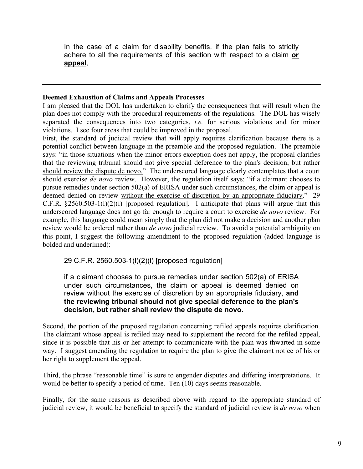In the case of a claim for disability benefits, if the plan fails to strictly adhere to all the requirements of this section with respect to a claim **or appeal**,

#### **Deemed Exhaustion of Claims and Appeals Processes**

I am pleased that the DOL has undertaken to clarify the consequences that will result when the plan does not comply with the procedural requirements of the regulations. The DOL has wisely separated the consequences into two categories, *i.e.* for serious violations and for minor violations. I see four areas that could be improved in the proposal.

First, the standard of judicial review that will apply requires clarification because there is a potential conflict between language in the preamble and the proposed regulation. The preamble says: "in those situations when the minor errors exception does not apply, the proposal clarifies that the reviewing tribunal should not give special deference to the plan's decision, but rather should review the dispute de novo." The underscored language clearly contemplates that a court should exercise *de novo* review. However, the regulation itself says: "if a claimant chooses to pursue remedies under section 502(a) of ERISA under such circumstances, the claim or appeal is deemed denied on review without the exercise of discretion by an appropriate fiduciary." 29 C.F.R.  $\S 2560.503-1(1)(2)(i)$  [proposed regulation]. I anticipate that plans will argue that this underscored language does not go far enough to require a court to exercise *de novo* review. For example, this language could mean simply that the plan did not make a decision and another plan review would be ordered rather than *de novo* judicial review. To avoid a potential ambiguity on this point, I suggest the following amendment to the proposed regulation (added language is bolded and underlined):

29 C.F.R. 2560.503-1(l)(2)(i) [proposed regulation]

# if a claimant chooses to pursue remedies under section 502(a) of ERISA under such circumstances, the claim or appeal is deemed denied on review without the exercise of discretion by an appropriate fiduciary, **and the reviewing tribunal should not give special deference to the plan's decision, but rather shall review the dispute de novo.**

Second, the portion of the proposed regulation concerning refiled appeals requires clarification. The claimant whose appeal is refiled may need to supplement the record for the refiled appeal, since it is possible that his or her attempt to communicate with the plan was thwarted in some way. I suggest amending the regulation to require the plan to give the claimant notice of his or her right to supplement the appeal.

Third, the phrase "reasonable time" is sure to engender disputes and differing interpretations. It would be better to specify a period of time. Ten (10) days seems reasonable.

Finally, for the same reasons as described above with regard to the appropriate standard of judicial review, it would be beneficial to specify the standard of judicial review is *de novo* when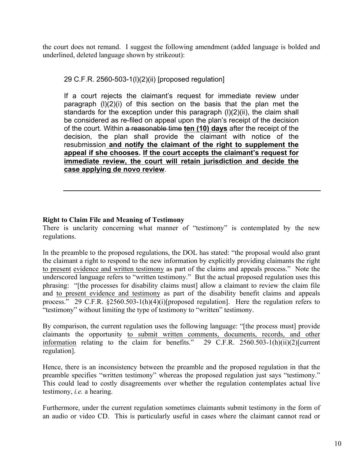the court does not remand. I suggest the following amendment (added language is bolded and underlined, deleted language shown by strikeout):

29 C.F.R. 2560-503-1(l)(2)(ii) [proposed regulation]

If a court rejects the claimant's request for immediate review under paragraph  $(I)(2)(i)$  of this section on the basis that the plan met the standards for the exception under this paragraph (l)(2)(ii), the claim shall be considered as re-filed on appeal upon the plan's receipt of the decision of the court. Within a reasonable time **ten (10) days** after the receipt of the decision, the plan shall provide the claimant with notice of the resubmission **and notify the claimant of the right to supplement the appeal if she chooses. If the court accepts the claimant's request for immediate review, the court will retain jurisdiction and decide the case applying de novo review**.

# **Right to Claim File and Meaning of Testimony**

There is unclarity concerning what manner of "testimony" is contemplated by the new regulations.

In the preamble to the proposed regulations, the DOL has stated: "the proposal would also grant the claimant a right to respond to the new information by explicitly providing claimants the right to present evidence and written testimony as part of the claims and appeals process." Note the underscored language refers to "written testimony." But the actual proposed regulation uses this phrasing: "[the processes for disability claims must] allow a claimant to review the claim file and to present evidence and testimony as part of the disability benefit claims and appeals process." 29 C.F.R.  $\S 2560.503 - 1(h)(4)(i)$ [proposed regulation]. Here the regulation refers to "testimony" without limiting the type of testimony to "written" testimony.

By comparison, the current regulation uses the following language: "[the process must] provide claimants the opportunity to submit written comments, documents, records, and other information relating to the claim for benefits." 29 C.F.R. 2560.503-1(h)(ii)(2)[current] information relating to the claim for benefits." regulation].

Hence, there is an inconsistency between the preamble and the proposed regulation in that the preamble specifies "written testimony" whereas the proposed regulation just says "testimony." This could lead to costly disagreements over whether the regulation contemplates actual live testimony, *i.e.* a hearing.

Furthermore, under the current regulation sometimes claimants submit testimony in the form of an audio or video CD. This is particularly useful in cases where the claimant cannot read or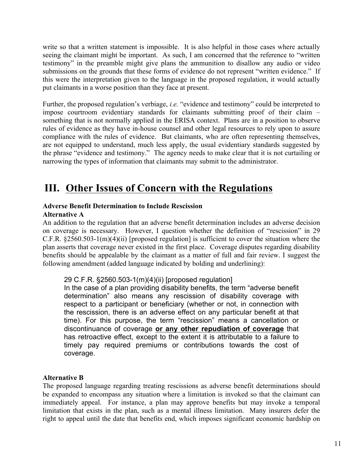write so that a written statement is impossible. It is also helpful in those cases where actually seeing the claimant might be important. As such, I am concerned that the reference to "written testimony" in the preamble might give plans the ammunition to disallow any audio or video submissions on the grounds that these forms of evidence do not represent "written evidence." If this were the interpretation given to the language in the proposed regulation, it would actually put claimants in a worse position than they face at present.

Further, the proposed regulation's verbiage, *i.e.* "evidence and testimony" could be interpreted to impose courtroom evidentiary standards for claimants submitting proof of their claim – something that is not normally applied in the ERISA context. Plans are in a position to observe rules of evidence as they have in-house counsel and other legal resources to rely upon to assure compliance with the rules of evidence. But claimants, who are often representing themselves, are not equipped to understand, much less apply, the usual evidentiary standards suggested by the phrase "evidence and testimony." The agency needs to make clear that it is not curtailing or narrowing the types of information that claimants may submit to the administrator.

# **III. Other Issues of Concern with the Regulations**

# **Adverse Benefit Determination to Include Rescission**

# **Alternative A**

An addition to the regulation that an adverse benefit determination includes an adverse decision on coverage is necessary. However, I question whether the definition of "rescission" in 29 C.F.R. §2560.503-1(m)(4)(ii) [proposed regulation] is sufficient to cover the situation where the plan asserts that coverage never existed in the first place. Coverage disputes regarding disability benefits should be appealable by the claimant as a matter of full and fair review. I suggest the following amendment (added language indicated by bolding and underlining):

# 29 C.F.R. §2560.503-1(m)(4)(ii) [proposed regulation]

In the case of a plan providing disability benefits, the term "adverse benefit determination" also means any rescission of disability coverage with respect to a participant or beneficiary (whether or not, in connection with the rescission, there is an adverse effect on any particular benefit at that time). For this purpose, the term "rescission" means a cancellation or discontinuance of coverage **or any other repudiation of coverage** that has retroactive effect, except to the extent it is attributable to a failure to timely pay required premiums or contributions towards the cost of coverage.

# **Alternative B**

The proposed language regarding treating rescissions as adverse benefit determinations should be expanded to encompass any situation where a limitation is invoked so that the claimant can immediately appeal. For instance, a plan may approve benefits but may invoke a temporal limitation that exists in the plan, such as a mental illness limitation. Many insurers defer the right to appeal until the date that benefits end, which imposes significant economic hardship on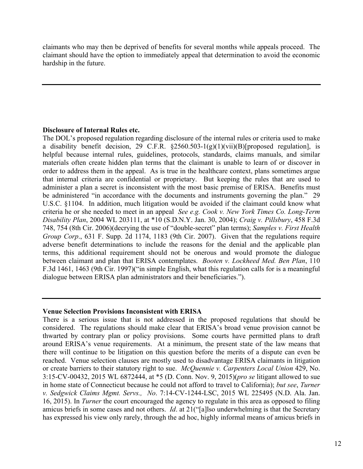claimants who may then be deprived of benefits for several months while appeals proceed. The claimant should have the option to immediately appeal that determination to avoid the economic hardship in the future.

# **Disclosure of Internal Rules etc.**

The DOL's proposed regulation regarding disclosure of the internal rules or criteria used to make a disability benefit decision, 29 C.F.R.  $\S 2560.503 - 1(g)(1)(vii)(B)$ [proposed regulation], is helpful because internal rules, guidelines, protocols, standards, claims manuals, and similar materials often create hidden plan terms that the claimant is unable to learn of or discover in order to address them in the appeal. As is true in the healthcare context, plans sometimes argue that internal criteria are confidential or proprietary. But keeping the rules that are used to administer a plan a secret is inconsistent with the most basic premise of ERISA. Benefits must be administered "in accordance with the documents and instruments governing the plan." 29 U.S.C. §1104. In addition, much litigation would be avoided if the claimant could know what criteria he or she needed to meet in an appeal *See e.g. Cook v. New York Times Co. Long-Term Disability Plan*, 2004 WL 203111, at \*10 (S.D.N.Y. Jan. 30, 2004); *Craig v. Pillsbury*, 458 F.3d 748, 754 (8th Cir. 2006)(decrying the use of "double-secret" plan terms); *Samples v. First Health Group Corp*., 631 F. Supp. 2d 1174, 1183 (9th Cir. 2007). Given that the regulations require adverse benefit determinations to include the reasons for the denial and the applicable plan terms, this additional requirement should not be onerous and would promote the dialogue between claimant and plan that ERISA contemplates. *Booten v. Lockheed Med. Ben Plan*, 110 F.3d 1461, 1463 (9th Cir. 1997)("in simple English, what this regulation calls for is a meaningful dialogue between ERISA plan administrators and their beneficiaries.").

#### **Venue Selection Provisions Inconsistent with ERISA**

There is a serious issue that is not addressed in the proposed regulations that should be considered. The regulations should make clear that ERISA's broad venue provision cannot be thwarted by contrary plan or policy provisions. Some courts have permitted plans to draft around ERISA's venue requirements. At a minimum, the present state of the law means that there will continue to be litigation on this question before the merits of a dispute can even be reached. Venue selection clauses are mostly used to disadvantage ERISA claimants in litigation or create barriers to their statutory right to sue. *McQuennie v. Carpenters Local Union* 429, No. 3:15-CV-00432, 2015 WL 6872444, at \*5 (D. Conn. Nov. 9, 2015)(*pro se* litigant allowed to sue in home state of Connecticut because he could not afford to travel to California); *but see*, *Turner v. Sedgwick Claims Mgmt. Servs., No*. 7:14-CV-1244-LSC, 2015 WL 225495 (N.D. Ala. Jan. 16, 2015). In *Turner* the court encouraged the agency to regulate in this area as opposed to filing amicus briefs in some cases and not others. *Id*. at 21("[a]lso underwhelming is that the Secretary has expressed his view only rarely, through the ad hoc, highly informal means of amicus briefs in